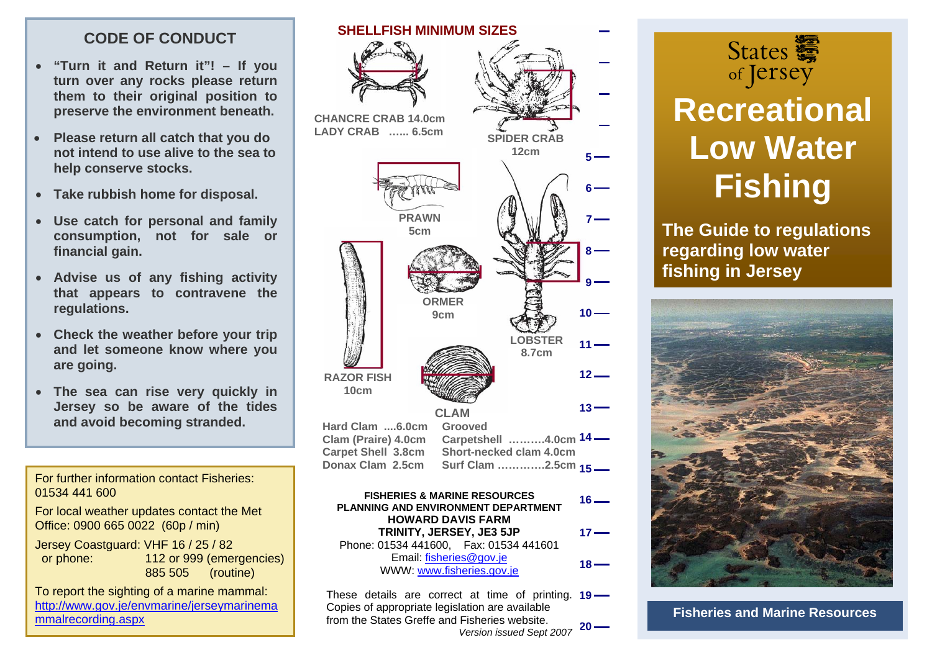# **CODE OF CONDUCT**

- **"Turn it and Return it"! If you turn over any rocks please return them to their original position to preserve the environment beneath.**
- **Please return all catch that you do not intend to use alive to the sea to help conserve stocks.**
- **Take rubbish home for disposal.**
- **PRAWN consumption, not for sale or**  • **Use catch for personal and family financial gain.**
- **Advise us of any fishing activity that appears to contravene the regulations.**
- **Check the weather before your trip and let someone know where you are going.**
- **The sea can rise very quickly in Jersey so be aware of the tides and avoid becoming stranded.**

For further information contact Fisheries: 01534 441 600

For local weather updates contact the Met Office: 0900 665 0022 (60p / min)

Jersey Coastguard: VHF 16 / 25 / 82 or phone: 112 or 999 (emergencies) 885 505 (routine)

To report the sighting of a marine mammal: [http://www.gov.je/envmarine/jerseymarinema](http://www.gov.je/envmarine/jerseymarinemammalrecording.aspx) [mmalrecording.aspx](http://www.gov.je/envmarine/jerseymarinemammalrecording.aspx)





# **Recreational Low Water Fishing**

**The Guide to regulations regarding low water fishing in Jersey** 



**Fisheries and Marine Resources**